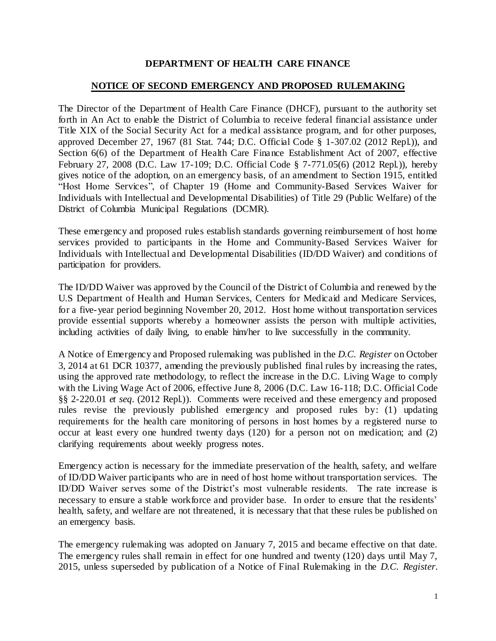## **DEPARTMENT OF HEALTH CARE FINANCE**

## **NOTICE OF SECOND EMERGENCY AND PROPOSED RULEMAKING**

The Director of the Department of Health Care Finance (DHCF), pursuant to the authority set forth in An Act to enable the District of Columbia to receive federal financial assistance under Title XIX of the Social Security Act for a medical assistance program, and for other purposes, approved December 27, 1967 (81 Stat. 744; D.C. Official Code § 1-307.02 (2012 Repl.)), and Section 6(6) of the Department of Health Care Finance Establishment Act of 2007, effective February 27, 2008 (D.C. Law 17-109; D.C. Official Code § 7-771.05(6) (2012 Repl.)), hereby gives notice of the adoption, on an emergency basis, of an amendment to Section 1915, entitled "Host Home Services", of Chapter 19 (Home and Community-Based Services Waiver for Individuals with Intellectual and Developmental Disabilities) of Title 29 (Public Welfare) of the District of Columbia Municipal Regulations (DCMR).

These emergency and proposed rules establish standards governing reimbursement of host home services provided to participants in the Home and Community-Based Services Waiver for Individuals with Intellectual and Developmental Disabilities (ID/DD Waiver) and conditions of participation for providers.

The ID/DD Waiver was approved by the Council of the District of Columbia and renewed by the U.S Department of Health and Human Services, Centers for Medicaid and Medicare Services, for a five-year period beginning November 20, 2012. Host home without transportation services provide essential supports whereby a homeowner assists the person with multiple activities, including activities of daily living, to enable him/her to live successfully in the community.

A Notice of Emergency and Proposed rulemaking was published in the *D.C. Register* on October 3, 2014 at 61 DCR 10377, amending the previously published final rules by increasing the rates, using the approved rate methodology, to reflect the increase in the D.C. Living Wage to comply with the Living Wage Act of 2006, effective June 8, 2006 (D.C. Law 16-118; D.C. Official Code §§ 2-220.01 *et seq*. (2012 Repl.)). Comments were received and these emergency and proposed rules revise the previously published emergency and proposed rules by: (1) updating requirements for the health care monitoring of persons in host homes by a registered nurse to occur at least every one hundred twenty days (120) for a person not on medication; and (2) clarifying requirements about weekly progress notes.

Emergency action is necessary for the immediate preservation of the health, safety, and welfare of ID/DD Waiver participants who are in need of host home without transportation services. The ID/DD Waiver serves some of the District's most vulnerable residents. The rate increase is necessary to ensure a stable workforce and provider base. In order to ensure that the residents' health, safety, and welfare are not threatened, it is necessary that that these rules be published on an emergency basis.

The emergency rulemaking was adopted on January 7, 2015 and became effective on that date. The emergency rules shall remain in effect for one hundred and twenty (120) days until May 7, 2015, unless superseded by publication of a Notice of Final Rulemaking in the *D.C. Register*.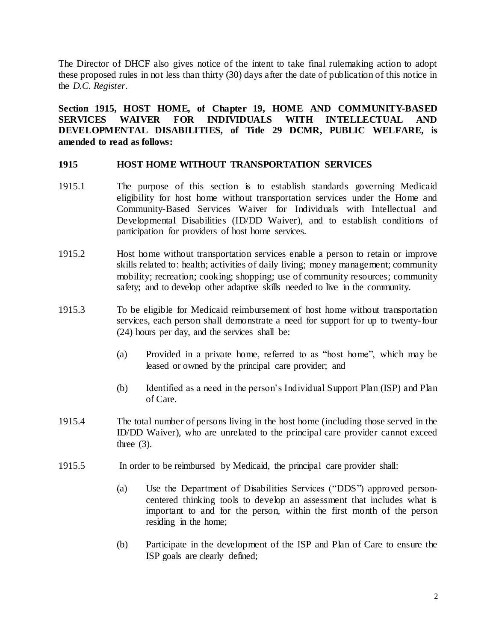The Director of DHCF also gives notice of the intent to take final rulemaking action to adopt these proposed rules in not less than thirty (30) days after the date of publication of this notice in the *D.C. Register*.

**Section 1915, HOST HOME, of Chapter 19, HOME AND COMMUNITY-BASED SERVICES WAIVER FOR INDIVIDUALS WITH INTELLECTUAL AND DEVELOPMENTAL DISABILITIES, of Title 29 DCMR, PUBLIC WELFARE, is amended to read as follows:**

## **1915 HOST HOME WITHOUT TRANSPORTATION SERVICES**

- 1915.1 The purpose of this section is to establish standards governing Medicaid eligibility for host home without transportation services under the Home and Community-Based Services Waiver for Individuals with Intellectual and Developmental Disabilities (ID/DD Waiver), and to establish conditions of participation for providers of host home services.
- 1915.2 Host home without transportation services enable a person to retain or improve skills related to: health; activities of daily living; money management; community mobility; recreation; cooking; shopping; use of community resources; community safety; and to develop other adaptive skills needed to live in the community.
- 1915.3 To be eligible for Medicaid reimbursement of host home without transportation services, each person shall demonstrate a need for support for up to twenty-four (24) hours per day, and the services shall be:
	- (a) Provided in a private home, referred to as "host home", which may be leased or owned by the principal care provider; and
	- (b) Identified as a need in the person's Individual Support Plan (ISP) and Plan of Care.
- 1915.4 The total number of persons living in the host home (including those served in the ID/DD Waiver), who are unrelated to the principal care provider cannot exceed three  $(3)$ .
- 1915.5 In order to be reimbursed by Medicaid, the principal care provider shall:
	- (a) Use the Department of Disabilities Services ("DDS") approved personcentered thinking tools to develop an assessment that includes what is important to and for the person, within the first month of the person residing in the home;
	- (b) Participate in the development of the ISP and Plan of Care to ensure the ISP goals are clearly defined;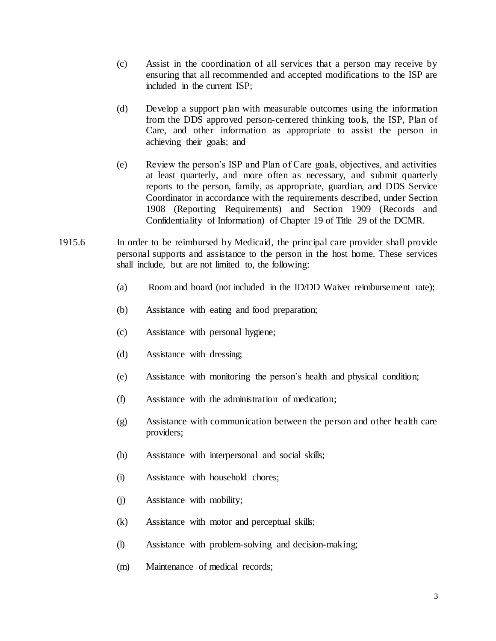- (c) Assist in the coordination of all services that a person may receive by ensuring that all recommended and accepted modifications to the ISP are included in the current ISP;
- (d) Develop a support plan with measurable outcomes using the information from the DDS approved person-centered thinking tools, the ISP, Plan of Care, and other information as appropriate to assist the person in achieving their goals; and
- (e) Review the person's ISP and Plan of Care goals, objectives, and activities at least quarterly, and more often as necessary, and submit quarterly reports to the person, family, as appropriate, guardian, and DDS Service Coordinator in accordance with the requirements described, under Section 1908 (Reporting Requirements) and Section 1909 (Records and Confidentiality of Information) of Chapter 19 of Title 29 of the DCMR.
- 1915.6 In order to be reimbursed by Medicaid, the principal care provider shall provide personal supports and assistance to the person in the host home. These services shall include, but are not limited to, the following:
	- (a) Room and board (not included in the ID/DD Waiver reimbursement rate);
	- (b) Assistance with eating and food preparation;
	- (c) Assistance with personal hygiene;
	- (d) Assistance with dressing;
	- (e) Assistance with monitoring the person's health and physical condition;
	- (f) Assistance with the administration of medication;
	- (g) Assistance with communication between the person and other health care providers;
	- (h) Assistance with interpersonal and social skills;
	- (i) Assistance with household chores;
	- (j) Assistance with mobility;
	- (k) Assistance with motor and perceptual skills;
	- (l) Assistance with problem-solving and decision-making;
	- (m) Maintenance of medical records;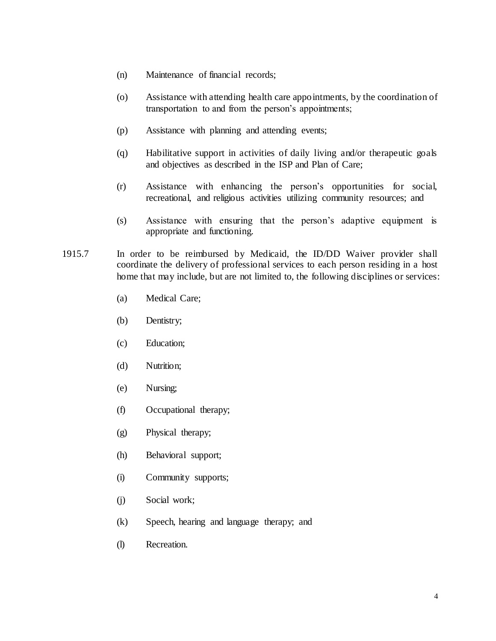- (n) Maintenance of financial records;
- (o) Assistance with attending health care appointments, by the coordination of transportation to and from the person's appointments;
- (p) Assistance with planning and attending events;
- (q) Habilitative support in activities of daily living and/or therapeutic goals and objectives as described in the ISP and Plan of Care;
- (r) Assistance with enhancing the person's opportunities for social, recreational, and religious activities utilizing community resources; and
- (s) Assistance with ensuring that the person's adaptive equipment is appropriate and functioning.
- 1915.7 In order to be reimbursed by Medicaid, the ID/DD Waiver provider shall coordinate the delivery of professional services to each person residing in a host home that may include, but are not limited to, the following disciplines or services:
	- (a) Medical Care;
	- (b) Dentistry;
	- (c) Education;
	- (d) Nutrition;
	- (e) Nursing;
	- (f) Occupational therapy;
	- (g) Physical therapy;
	- (h) Behavioral support;
	- (i) Community supports;
	- (j) Social work;
	- (k) Speech, hearing and language therapy; and
	- (l) Recreation.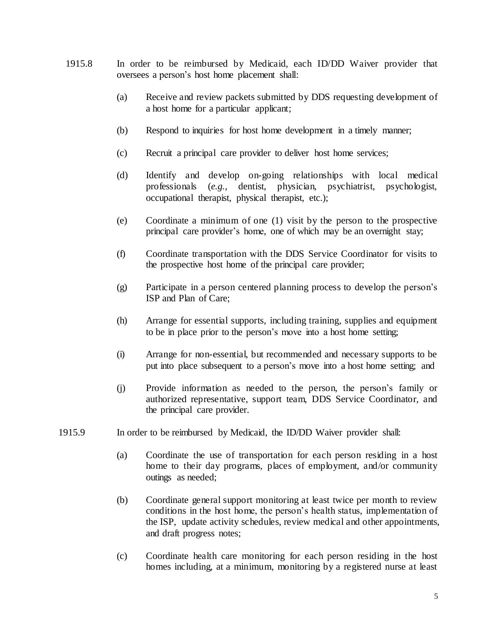- 1915.8 In order to be reimbursed by Medicaid, each ID/DD Waiver provider that oversees a person's host home placement shall:
	- (a) Receive and review packets submitted by DDS requesting development of a host home for a particular applicant;
	- (b) Respond to inquiries for host home development in a timely manner;
	- (c) Recruit a principal care provider to deliver host home services;
	- (d) Identify and develop on-going relationships with local medical professionals (*e.g.*, dentist, physician, psychiatrist, psychologist, occupational therapist, physical therapist, etc.);
	- (e) Coordinate a minimum of one (1) visit by the person to the prospective principal care provider's home, one of which may be an overnight stay;
	- (f) Coordinate transportation with the DDS Service Coordinator for visits to the prospective host home of the principal care provider;
	- (g) Participate in a person centered planning process to develop the person's ISP and Plan of Care;
	- (h) Arrange for essential supports, including training, supplies and equipment to be in place prior to the person's move into a host home setting;
	- (i) Arrange for non-essential, but recommended and necessary supports to be put into place subsequent to a person's move into a host home setting; and
	- (j) Provide information as needed to the person, the person's family or authorized representative, support team, DDS Service Coordinator, and the principal care provider.
- 1915.9 In order to be reimbursed by Medicaid, the ID/DD Waiver provider shall:
	- (a) Coordinate the use of transportation for each person residing in a host home to their day programs, places of employment, and/or community outings as needed;
	- (b) Coordinate general support monitoring at least twice per month to review conditions in the host home, the person's health status, implementation of the ISP, update activity schedules, review medical and other appointments, and draft progress notes;
	- (c) Coordinate health care monitoring for each person residing in the host homes including, at a minimum, monitoring by a registered nurse at least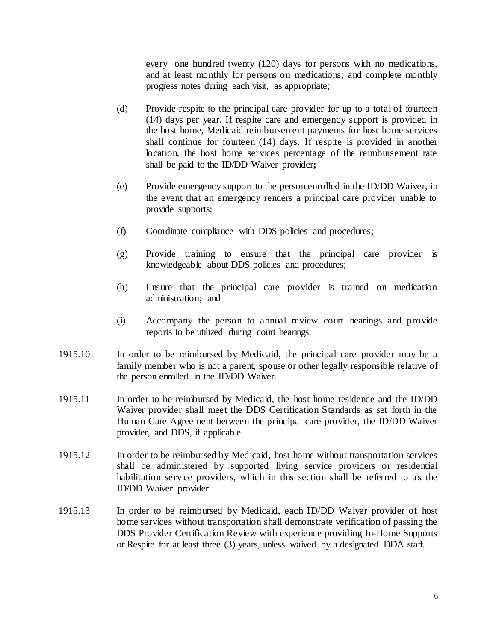every one hundred twenty (120) days for persons with no medications, and at least monthly for persons on medications; and complete monthly progress notes during each visit, as appropriate;

- (d) Provide respite to the principal care provider for up to a total of fourteen (14) days per year. If respite care and emergency support is provided in the host home, Medicaid reimbursement payments for host home services shall continue for fourteen (14) days. If respite is provided in another location, the host home services percentage of the reimbursement rate shall be paid to the ID/DD Waiver provider**;**
- (e) Provide emergency support to the person enrolled in the ID/DD Waiver, in the event that an emergency renders a principal care provider unable to provide supports;
- (f) Coordinate compliance with DDS policies and procedures;
- (g) Provide training to ensure that the principal care provider is knowledgeable about DDS policies and procedures;
- (h) Ensure that the principal care provider is trained on medication administration; and
- (i) Accompany the person to annual review court hearings and provide reports to be utilized during court hearings.
- 1915.10 In order to be reimbursed by Medicaid, the principal care provider may be a family member who is not a parent, spouse or other legally responsible relative of the person enrolled in the ID/DD Waiver.
- 1915.11 In order to be reimbursed by Medicaid, the host home residence and the ID/DD Waiver provider shall meet the DDS Certification Standards as set forth in the Human Care Agreement between the principal care provider, the ID/DD Waiver provider, and DDS, if applicable.
- 1915.12 In order to be reimbursed by Medicaid, host home without transportation services shall be administered by supported living service providers or residential habilitation service providers, which in this section shall be referred to as the ID/DD Waiver provider.
- 1915.13 In order to be reimbursed by Medicaid, each ID/DD Waiver provider of host home services without transportation shall demonstrate verification of passing the DDS Provider Certification Review with experience providing In-Home Supports or Respite for at least three (3) years, unless waived by a designated DDA staff.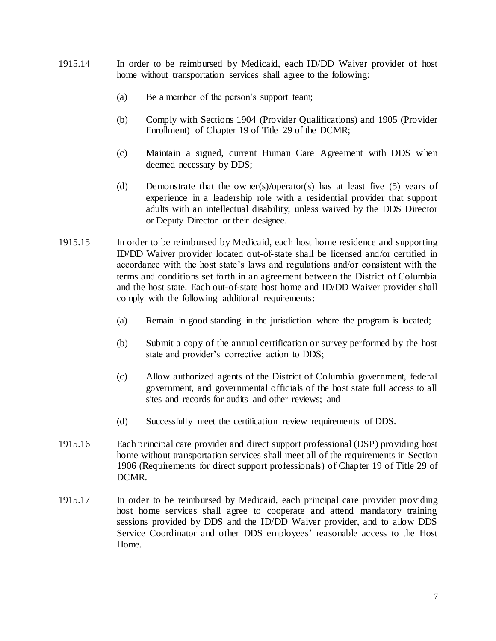- 1915.14 In order to be reimbursed by Medicaid, each ID/DD Waiver provider of host home without transportation services shall agree to the following:
	- (a) Be a member of the person's support team;
	- (b) Comply with Sections 1904 (Provider Qualifications) and 1905 (Provider Enrollment) of Chapter 19 of Title 29 of the DCMR;
	- (c) Maintain a signed, current Human Care Agreement with DDS when deemed necessary by DDS;
	- (d) Demonstrate that the owner(s)/operator(s) has at least five (5) years of experience in a leadership role with a residential provider that support adults with an intellectual disability, unless waived by the DDS Director or Deputy Director or their designee.
- 1915.15 In order to be reimbursed by Medicaid, each host home residence and supporting ID/DD Waiver provider located out-of-state shall be licensed and/or certified in accordance with the host state's laws and regulations and/or consistent with the terms and conditions set forth in an agreement between the District of Columbia and the host state. Each out-of-state host home and ID/DD Waiver provider shall comply with the following additional requirements:
	- (a) Remain in good standing in the jurisdiction where the program is located;
	- (b) Submit a copy of the annual certification or survey performed by the host state and provider's corrective action to DDS;
	- (c) Allow authorized agents of the District of Columbia government, federal government, and governmental officials of the host state full access to all sites and records for audits and other reviews; and
	- (d) Successfully meet the certification review requirements of DDS.
- 1915.16 Each principal care provider and direct support professional (DSP) providing host home without transportation services shall meet all of the requirements in Section 1906 (Requirements for direct support professionals) of Chapter 19 of Title 29 of DCMR.
- 1915.17 In order to be reimbursed by Medicaid, each principal care provider providing host home services shall agree to cooperate and attend mandatory training sessions provided by DDS and the ID/DD Waiver provider, and to allow DDS Service Coordinator and other DDS employees' reasonable access to the Host Home.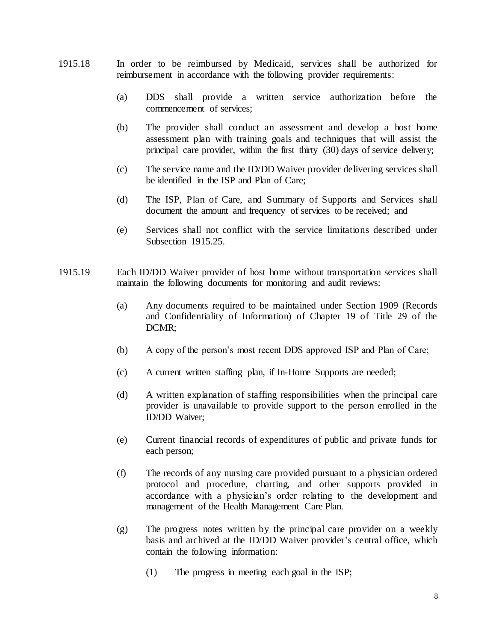- 1915.18 In order to be reimbursed by Medicaid, services shall be authorized for reimbursement in accordance with the following provider requirements:
	- (a) DDS shall provide a written service authorization before the commencement of services;
	- (b) The provider shall conduct an assessment and develop a host home assessment plan with training goals and techniques that will assist the principal care provider, within the first thirty (30) days of service delivery;
	- (c) The service name and the ID/DD Waiver provider delivering services shall be identified in the ISP and Plan of Care;
	- (d) The ISP, Plan of Care, and Summary of Supports and Services shall document the amount and frequency of services to be received; and
	- (e) Services shall not conflict with the service limitations described under Subsection 1915.25.
- 1915.19 Each ID/DD Waiver provider of host home without transportation services shall maintain the following documents for monitoring and audit reviews:
	- (a) Any documents required to be maintained under Section 1909 (Records and Confidentiality of Information) of Chapter 19 of Title 29 of the DCMR;
	- (b) A copy of the person's most recent DDS approved ISP and Plan of Care;
	- (c) A current written staffing plan, if In-Home Supports are needed;
	- (d) A written explanation of staffing responsibilities when the principal care provider is unavailable to provide support to the person enrolled in the ID/DD Waiver;
	- (e) Current financial records of expenditures of public and private funds for each person;
	- (f) The records of any nursing care provided pursuant to a physician ordered protocol and procedure, charting, and other supports provided in accordance with a physician's order relating to the development and management of the Health Management Care Plan.
	- (g) The progress notes written by the principal care provider on a weekly basis and archived at the ID/DD Waiver provider's central office, which contain the following information:
		- (1) The progress in meeting each goal in the ISP;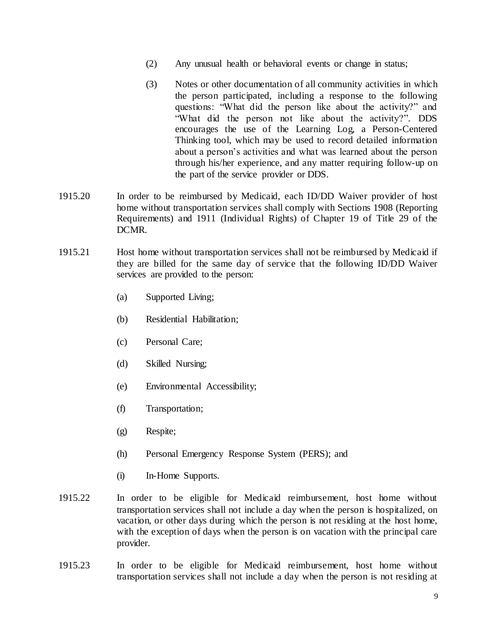- (2) Any unusual health or behavioral events or change in status;
- (3) Notes or other documentation of all community activities in which the person participated, including a response to the following questions: "What did the person like about the activity?" and "What did the person not like about the activity?". DDS encourages the use of the Learning Log, a Person-Centered Thinking tool, which may be used to record detailed information about a person's activities and what was learned about the person through his/her experience, and any matter requiring follow-up on the part of the service provider or DDS.
- 1915.20 In order to be reimbursed by Medicaid, each ID/DD Waiver provider of host home without transportation services shall comply with Sections 1908 (Reporting Requirements) and 1911 (Individual Rights) of Chapter 19 of Title 29 of the DCMR.
- 1915.21 Host home without transportation services shall not be reimbursed by Medicaid if they are billed for the same day of service that the following ID/DD Waiver services are provided to the person:
	- (a) Supported Living;
	- (b) Residential Habilitation;
	- (c) Personal Care;
	- (d) Skilled Nursing;
	- (e) Environmental Accessibility;
	- (f) Transportation;
	- (g) Respite;
	- (h) Personal Emergency Response System (PERS); and
	- (i) In-Home Supports.
- 1915.22 In order to be eligible for Medicaid reimbursement, host home without transportation services shall not include a day when the person is hospitalized, on vacation, or other days during which the person is not residing at the host home, with the exception of days when the person is on vacation with the principal care provider.
- 1915.23 In order to be eligible for Medicaid reimbursement, host home without transportation services shall not include a day when the person is not residing at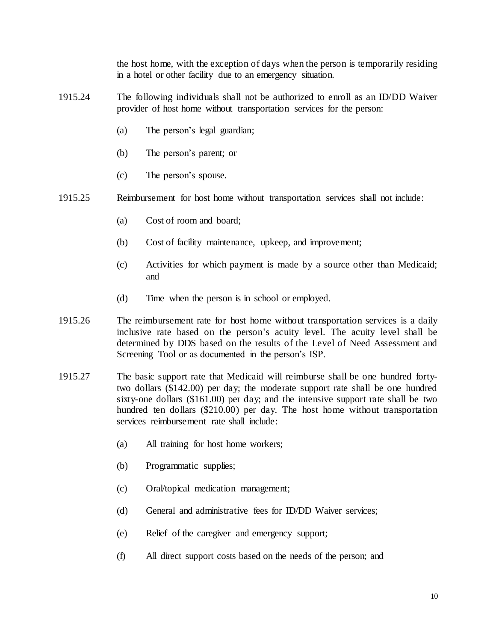the host home, with the exception of days when the person is temporarily residing in a hotel or other facility due to an emergency situation.

- 1915.24 The following individuals shall not be authorized to enroll as an ID/DD Waiver provider of host home without transportation services for the person:
	- (a) The person's legal guardian;
	- (b) The person's parent; or
	- (c) The person's spouse.
- 1915.25 Reimbursement for host home without transportation services shall not include:
	- (a) Cost of room and board;
	- (b) Cost of facility maintenance, upkeep, and improvement;
	- (c) Activities for which payment is made by a source other than Medicaid; and
	- (d) Time when the person is in school or employed.
- 1915.26 The reimbursement rate for host home without transportation services is a daily inclusive rate based on the person's acuity level. The acuity level shall be determined by DDS based on the results of the Level of Need Assessment and Screening Tool or as documented in the person's ISP.
- 1915.27 The basic support rate that Medicaid will reimburse shall be one hundred fortytwo dollars (\$142.00) per day; the moderate support rate shall be one hundred sixty-one dollars (\$161.00) per day; and the intensive support rate shall be two hundred ten dollars (\$210.00) per day. The host home without transportation services reimbursement rate shall include:
	- (a) All training for host home workers;
	- (b) Programmatic supplies;
	- (c) Oral/topical medication management;
	- (d) General and administrative fees for ID/DD Waiver services;
	- (e) Relief of the caregiver and emergency support;
	- (f) All direct support costs based on the needs of the person; and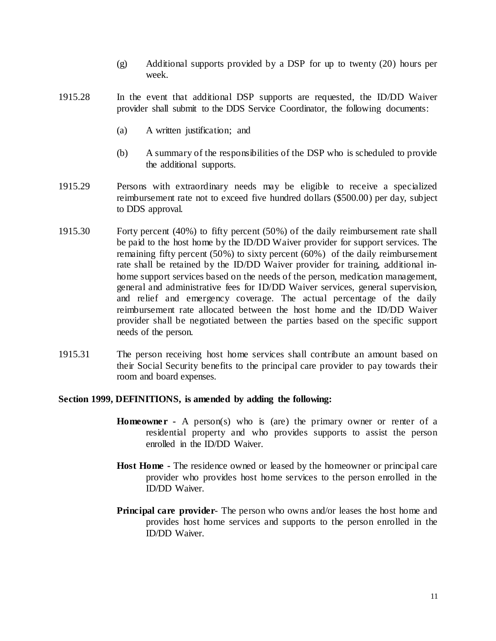- (g) Additional supports provided by a DSP for up to twenty (20) hours per week.
- 1915.28 In the event that additional DSP supports are requested, the ID/DD Waiver provider shall submit to the DDS Service Coordinator, the following documents:
	- (a) A written justification; and
	- (b) A summary of the responsibilities of the DSP who is scheduled to provide the additional supports.
- 1915.29 Persons with extraordinary needs may be eligible to receive a specialized reimbursement rate not to exceed five hundred dollars (\$500.00) per day, subject to DDS approval.
- 1915.30 Forty percent (40%) to fifty percent (50%) of the daily reimbursement rate shall be paid to the host home by the ID/DD Waiver provider for support services. The remaining fifty percent (50%) to sixty percent (60%) of the daily reimbursement rate shall be retained by the ID/DD Waiver provider for training, additional inhome support services based on the needs of the person, medication management, general and administrative fees for ID/DD Waiver services, general supervision, and relief and emergency coverage. The actual percentage of the daily reimbursement rate allocated between the host home and the ID/DD Waiver provider shall be negotiated between the parties based on the specific support needs of the person.
- 1915.31 The person receiving host home services shall contribute an amount based on their Social Security benefits to the principal care provider to pay towards their room and board expenses.

## **Section 1999, DEFINITIONS, is amended by adding the following:**

- **Homeowner** A person(s) who is (are) the primary owner or renter of a residential property and who provides supports to assist the person enrolled in the ID/DD Waiver.
- **Host Home -** The residence owned or leased by the homeowner or principal care provider who provides host home services to the person enrolled in the ID/DD Waiver.
- **Principal care provider** The person who owns and/or leases the host home and provides host home services and supports to the person enrolled in the ID/DD Waiver.